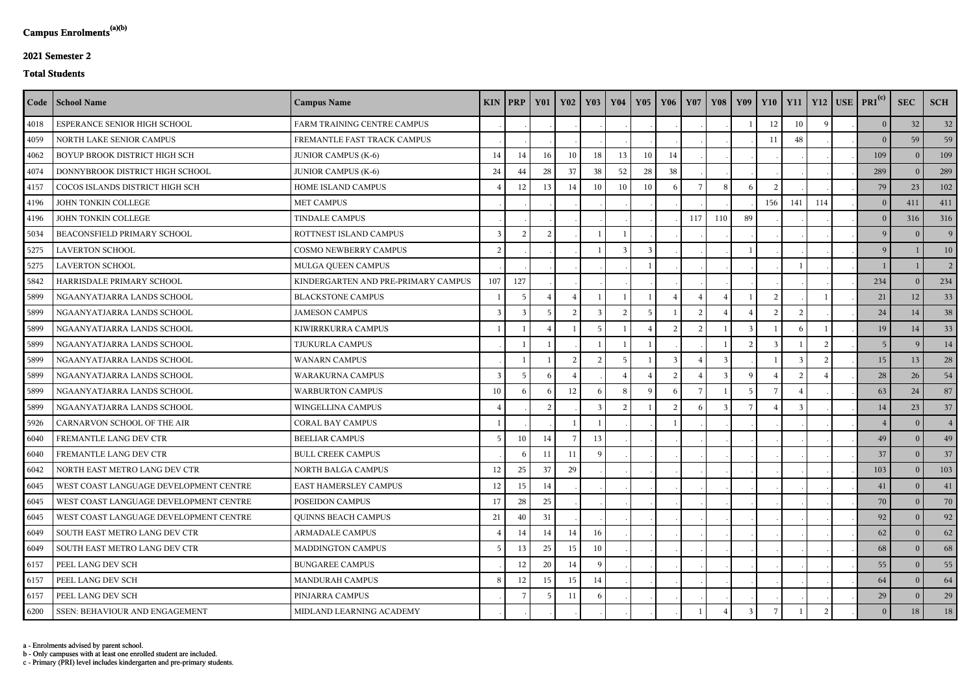c - Primary (PRI) level includes kindergarten and pre-primary students.

b - Only campuses with at least one enrolled student are included.

a - Enrolments advised by parent school.

## **2021 Semester 2**

## **Total Students**

|      | Code   School Name                     | <b>Campus Name</b>                  |                | $KIN$ PRP  | <b>Y01</b>     | <b>Y02</b>     | $\vert$ Y <sub>03</sub> | <b>Y04</b> | $\vert$ Y <sub>05</sub> | Y06          | <b>Y07</b> |               |     |     |     |             | Y08   Y09   Y10   Y11   Y12   USE   PRI <sup>(c)</sup> | <b>SEC</b>     | <b>SCH</b>     |
|------|----------------------------------------|-------------------------------------|----------------|------------|----------------|----------------|-------------------------|------------|-------------------------|--------------|------------|---------------|-----|-----|-----|-------------|--------------------------------------------------------|----------------|----------------|
| 4018 | ESPERANCE SENIOR HIGH SCHOOL           | FARM TRAINING CENTRE CAMPUS         |                |            |                |                |                         |            |                         |              |            |               |     | 12  | 10  | $\mathbf Q$ | 0                                                      | 32             | 32             |
| 4059 | NORTH LAKE SENIOR CAMPUS               | FREMANTLE FAST TRACK CAMPUS         |                |            |                |                |                         |            |                         |              |            |               |     | 11  | 48  |             | $\vert 0 \vert$                                        | 59             | 59             |
| 4062 | BOYUP BROOK DISTRICT HIGH SCH          | <b>JUNIOR CAMPUS (K-6)</b>          | 14             | 14         | 16             | 10             | 18                      | 13         | 10                      | 14           |            |               |     |     |     |             | 109                                                    | $\Omega$       | 109            |
| 4074 | DONNYBROOK DISTRICT HIGH SCHOOL        | <b>JUNIOR CAMPUS (K-6)</b>          | 24             | 44         | 28             | 37             | 38                      | 52         | 28                      | 38           |            |               |     |     |     |             | 289                                                    | $\overline{0}$ | 289            |
| 4157 | COCOS ISLANDS DISTRICT HIGH SCH        | HOME ISLAND CAMPUS                  |                | 12         | 13             | 14             | 10                      | 10         | 10                      | 6            |            | 8             |     |     |     |             | 79                                                     | 23             | 102            |
| 4196 | JOHN TONKIN COLLEGE                    | <b>MET CAMPUS</b>                   |                |            |                |                |                         |            |                         |              |            |               |     | 156 | 141 | 114         | 0 <sup>1</sup>                                         | 411            | 411            |
| 4196 | JOHN TONKIN COLLEGE                    | <b>TINDALE CAMPUS</b>               |                |            |                |                |                         |            |                         |              | 117        | 110           | -89 |     |     |             | 0 <sup>1</sup>                                         | 316            | 316            |
| 5034 | BEACONSFIELD PRIMARY SCHOOL            | ROTTNEST ISLAND CAMPUS              | 3              | $\bigcirc$ | $\mathcal{D}$  |                |                         |            |                         |              |            |               |     |     |     |             | 9                                                      | $\Omega$       | 9              |
| 5275 | <b>LAVERTON SCHOOL</b>                 | <b>COSMO NEWBERRY CAMPUS</b>        | $\overline{2}$ |            |                |                |                         |            |                         |              |            |               |     |     |     |             | 9                                                      |                | 10             |
| 5275 | <b>LAVERTON SCHOOL</b>                 | MULGA QUEEN CAMPUS                  |                |            |                |                |                         |            |                         |              |            |               |     |     |     |             |                                                        |                | $\overline{2}$ |
| 5842 | HARRISDALE PRIMARY SCHOOL              | KINDERGARTEN AND PRE-PRIMARY CAMPUS | 107            | 127        |                |                |                         |            |                         |              |            |               |     |     |     |             | 234                                                    | $\overline{0}$ | 234            |
| 5899 | NGAANYATJARRA LANDS SCHOOL             | <b>BLACKSTONE CAMPUS</b>            |                |            |                |                |                         |            |                         |              |            |               |     |     |     |             | 21                                                     | 12             | 33             |
| 5899 | NGAANYATJARRA LANDS SCHOOL             | <b>JAMESON CAMPUS</b>               | 3              |            |                | ാ              |                         | ി          |                         |              |            |               |     |     |     |             | 24                                                     | 14             | 38             |
| 5899 | NGAANYATJARRA LANDS SCHOOL             | KIWIRRKURRA CAMPUS                  |                |            |                |                | -5                      |            |                         |              |            |               |     |     |     |             | 19                                                     | 14             | 33             |
| 5899 | NGAANYATJARRA LANDS SCHOOL             | TJUKURLA CAMPUS                     |                |            |                |                |                         |            |                         |              |            |               |     |     |     |             | 5 <sup>1</sup>                                         | <sup>9</sup>   | 14             |
| 5899 | NGAANYATJARRA LANDS SCHOOL             | <b>WANARN CAMPUS</b>                |                |            |                | $\overline{2}$ | 2                       | 5          |                         | $\mathbf{3}$ |            | $\mathcal{R}$ |     |     |     |             | 15                                                     | 13             | 28             |
| 5899 | NGAANYATJARRA LANDS SCHOOL             | <b>WARAKURNA CAMPUS</b>             | $\overline{3}$ |            |                |                |                         |            |                         |              |            |               |     |     |     |             | 28                                                     | 26             | 54             |
| 5899 | NGAANYATJARRA LANDS SCHOOL             | <b>WARBURTON CAMPUS</b>             | 10             |            |                | 12             |                         |            |                         |              |            |               |     |     |     |             | 63                                                     | 24             | 87             |
| 5899 | NGAANYATJARRA LANDS SCHOOL             | WINGELLINA CAMPUS                   |                |            | $\overline{2}$ |                | 3                       |            |                         |              |            |               |     |     |     |             | 14                                                     | 23             | 37             |
| 5926 | CARNARVON SCHOOL OF THE AIR            | <b>CORAL BAY CAMPUS</b>             |                |            |                |                |                         |            |                         |              |            |               |     |     |     |             | 4                                                      | $\theta$       | 4 <sup>1</sup> |
| 6040 | FREMANTLE LANG DEV CTR                 | <b>BEELIAR CAMPUS</b>               | 5              | 10         | 14             |                | 13                      |            |                         |              |            |               |     |     |     |             | 49                                                     | $\overline{0}$ | 49             |
| 6040 | <b>FREMANTLE LANG DEV CTR</b>          | <b>BULL CREEK CAMPUS</b>            |                | 6          | 11             | -11            | <b>Q</b>                |            |                         |              |            |               |     |     |     |             | 37                                                     | $\mathbf{0}$   | 37             |
| 6042 | NORTH EAST METRO LANG DEV CTR          | NORTH BALGA CAMPUS                  | 12             | 25         | 37             | 29             |                         |            |                         |              |            |               |     |     |     |             | 103                                                    | $\overline{0}$ | 103            |
| 6045 | WEST COAST LANGUAGE DEVELOPMENT CENTRE | EAST HAMERSLEY CAMPUS               | 12             | 15         | 14             |                |                         |            |                         |              |            |               |     |     |     |             | 41                                                     | $\bf{0}$       | 41             |
| 6045 | WEST COAST LANGUAGE DEVELOPMENT CENTRE | POSEIDON CAMPUS                     | 17             | 28         | 25             |                |                         |            |                         |              |            |               |     |     |     |             | 70                                                     | $\theta$       | 70             |
| 6045 | WEST COAST LANGUAGE DEVELOPMENT CENTRE | <b>QUINNS BEACH CAMPUS</b>          | 21             | 40         | 31             |                |                         |            |                         |              |            |               |     |     |     |             | 92                                                     | $\bf{0}$       | 92             |
| 6049 | SOUTH EAST METRO LANG DEV CTR          | <b>ARMADALE CAMPUS</b>              | $\overline{4}$ | 14         | 14             | 14             | 16                      |            |                         |              |            |               |     |     |     |             | 62                                                     | $\mathbf{0}$   | 62             |
| 6049 | SOUTH EAST METRO LANG DEV CTR          | <b>MADDINGTON CAMPUS</b>            | -5             | 13         | 25             | 15             | 10                      |            |                         |              |            |               |     |     |     |             | 68                                                     | $\overline{0}$ | 68             |
| 6157 | PEEL LANG DEV SCH                      | <b>BUNGAREE CAMPUS</b>              |                | 12         | 20             | 14             |                         |            |                         |              |            |               |     |     |     |             | 55                                                     | $\theta$       | 55             |
| 6157 | PEEL LANG DEV SCH                      | <b>MANDURAH CAMPUS</b>              | 8              | 12         | 15             | 15             | 14                      |            |                         |              |            |               |     |     |     |             | 64                                                     | $\overline{0}$ | 64             |
| 6157 | PEEL LANG DEV SCH                      | PINJARRA CAMPUS                     |                |            | -5             | 11             |                         |            |                         |              |            |               |     |     |     |             | 29                                                     | $\mathbf{0}$   | 29             |
| 6200 | <b>SSEN: BEHAVIOUR AND ENGAGEMENT</b>  | MIDLAND LEARNING ACADEMY            |                |            |                |                |                         |            |                         |              |            |               |     |     |     |             | 0 <sup>1</sup>                                         | 18             | 18             |